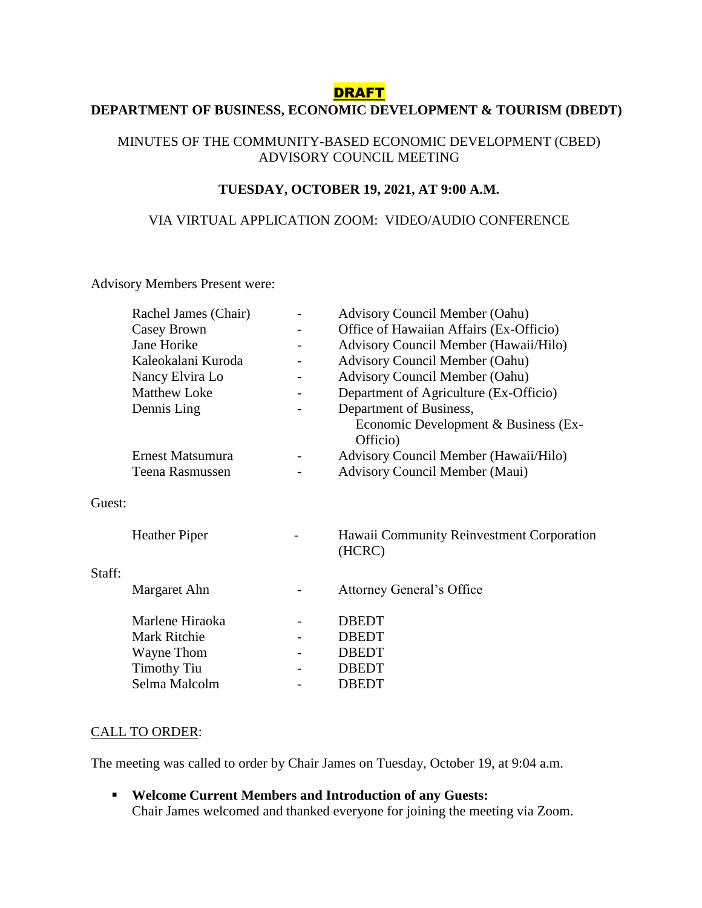### DRAFT

# **DEPARTMENT OF BUSINESS, ECONOMIC DEVELOPMENT & TOURISM (DBEDT)**

#### MINUTES OF THE COMMUNITY-BASED ECONOMIC DEVELOPMENT (CBED) ADVISORY COUNCIL MEETING

#### **TUESDAY, OCTOBER 19, 2021, AT 9:00 A.M.**

#### VIA VIRTUAL APPLICATION ZOOM: VIDEO/AUDIO CONFERENCE

Advisory Members Present were:

|        | Rachel James (Chair) | <b>Advisory Council Member (Oahu)</b>               |
|--------|----------------------|-----------------------------------------------------|
|        | Casey Brown          | Office of Hawaiian Affairs (Ex-Officio)             |
|        | Jane Horike          | Advisory Council Member (Hawaii/Hilo)               |
|        | Kaleokalani Kuroda   | <b>Advisory Council Member (Oahu)</b>               |
|        | Nancy Elvira Lo      | <b>Advisory Council Member (Oahu)</b>               |
|        | <b>Matthew Loke</b>  | Department of Agriculture (Ex-Officio)              |
|        | Dennis Ling          | Department of Business,                             |
|        |                      | Economic Development & Business (Ex-<br>Officio)    |
|        | Ernest Matsumura     | Advisory Council Member (Hawaii/Hilo)               |
|        | Teena Rasmussen      | <b>Advisory Council Member (Maui)</b>               |
| Guest: |                      |                                                     |
|        | <b>Heather Piper</b> | Hawaii Community Reinvestment Corporation<br>(HCRC) |
| Staff: |                      |                                                     |
|        | Margaret Ahn         | <b>Attorney General's Office</b>                    |
|        | Marlene Hiraoka      | <b>DBEDT</b>                                        |
|        | Mark Ritchie         | <b>DBEDT</b>                                        |
|        | Wayne Thom           | <b>DBEDT</b>                                        |
|        | <b>Timothy Tiu</b>   | <b>DBEDT</b>                                        |
|        | Selma Malcolm        | <b>DBEDT</b>                                        |

#### CALL TO ORDER:

The meeting was called to order by Chair James on Tuesday, October 19, at 9:04 a.m.

 **Welcome Current Members and Introduction of any Guests:** Chair James welcomed and thanked everyone for joining the meeting via Zoom.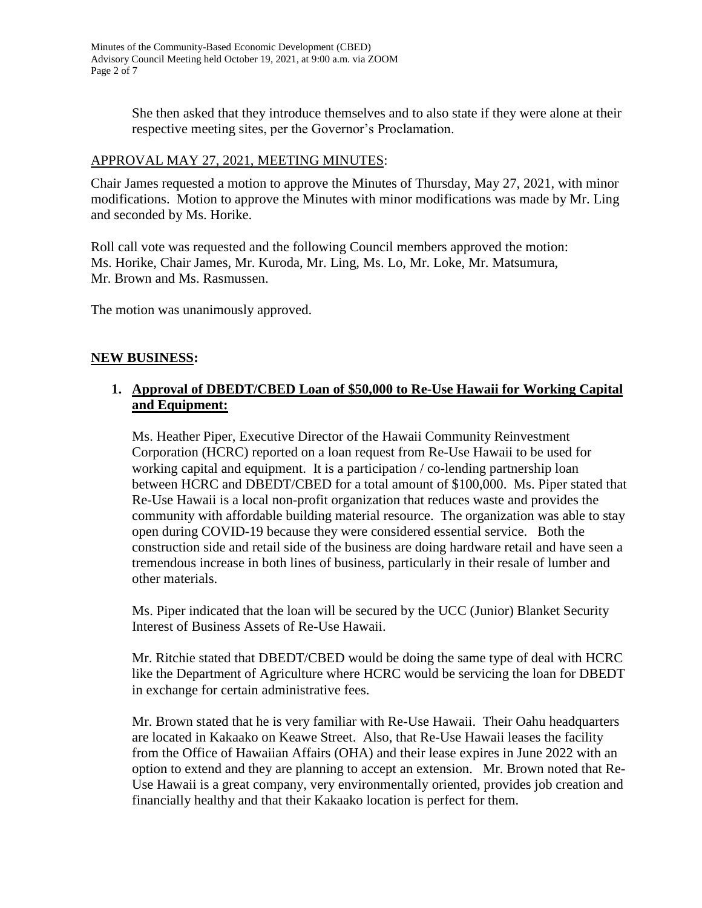She then asked that they introduce themselves and to also state if they were alone at their respective meeting sites, per the Governor's Proclamation.

### APPROVAL MAY 27, 2021, MEETING MINUTES:

Chair James requested a motion to approve the Minutes of Thursday, May 27, 2021, with minor modifications. Motion to approve the Minutes with minor modifications was made by Mr. Ling and seconded by Ms. Horike.

Roll call vote was requested and the following Council members approved the motion: Ms. Horike, Chair James, Mr. Kuroda, Mr. Ling, Ms. Lo, Mr. Loke, Mr. Matsumura, Mr. Brown and Ms. Rasmussen.

The motion was unanimously approved.

#### **NEW BUSINESS:**

### **1. Approval of DBEDT/CBED Loan of \$50,000 to Re-Use Hawaii for Working Capital and Equipment:**

Ms. Heather Piper, Executive Director of the Hawaii Community Reinvestment Corporation (HCRC) reported on a loan request from Re-Use Hawaii to be used for working capital and equipment. It is a participation / co-lending partnership loan between HCRC and DBEDT/CBED for a total amount of \$100,000. Ms. Piper stated that Re-Use Hawaii is a local non-profit organization that reduces waste and provides the community with affordable building material resource. The organization was able to stay open during COVID-19 because they were considered essential service. Both the construction side and retail side of the business are doing hardware retail and have seen a tremendous increase in both lines of business, particularly in their resale of lumber and other materials.

Ms. Piper indicated that the loan will be secured by the UCC (Junior) Blanket Security Interest of Business Assets of Re-Use Hawaii.

Mr. Ritchie stated that DBEDT/CBED would be doing the same type of deal with HCRC like the Department of Agriculture where HCRC would be servicing the loan for DBEDT in exchange for certain administrative fees.

Mr. Brown stated that he is very familiar with Re-Use Hawaii. Their Oahu headquarters are located in Kakaako on Keawe Street. Also, that Re-Use Hawaii leases the facility from the Office of Hawaiian Affairs (OHA) and their lease expires in June 2022 with an option to extend and they are planning to accept an extension. Mr. Brown noted that Re-Use Hawaii is a great company, very environmentally oriented, provides job creation and financially healthy and that their Kakaako location is perfect for them.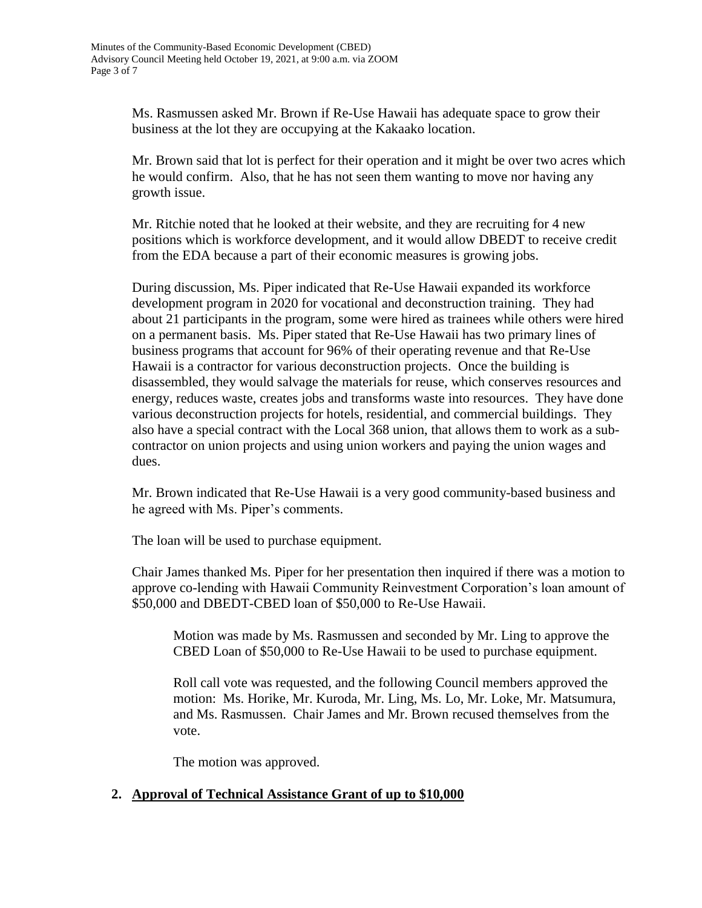Ms. Rasmussen asked Mr. Brown if Re-Use Hawaii has adequate space to grow their business at the lot they are occupying at the Kakaako location.

Mr. Brown said that lot is perfect for their operation and it might be over two acres which he would confirm. Also, that he has not seen them wanting to move nor having any growth issue.

Mr. Ritchie noted that he looked at their website, and they are recruiting for 4 new positions which is workforce development, and it would allow DBEDT to receive credit from the EDA because a part of their economic measures is growing jobs.

During discussion, Ms. Piper indicated that Re-Use Hawaii expanded its workforce development program in 2020 for vocational and deconstruction training. They had about 21 participants in the program, some were hired as trainees while others were hired on a permanent basis. Ms. Piper stated that Re-Use Hawaii has two primary lines of business programs that account for 96% of their operating revenue and that Re-Use Hawaii is a contractor for various deconstruction projects. Once the building is disassembled, they would salvage the materials for reuse, which conserves resources and energy, reduces waste, creates jobs and transforms waste into resources. They have done various deconstruction projects for hotels, residential, and commercial buildings. They also have a special contract with the Local 368 union, that allows them to work as a subcontractor on union projects and using union workers and paying the union wages and dues.

Mr. Brown indicated that Re-Use Hawaii is a very good community-based business and he agreed with Ms. Piper's comments.

The loan will be used to purchase equipment.

Chair James thanked Ms. Piper for her presentation then inquired if there was a motion to approve co-lending with Hawaii Community Reinvestment Corporation's loan amount of \$50,000 and DBEDT-CBED loan of \$50,000 to Re-Use Hawaii.

Motion was made by Ms. Rasmussen and seconded by Mr. Ling to approve the CBED Loan of \$50,000 to Re-Use Hawaii to be used to purchase equipment.

Roll call vote was requested, and the following Council members approved the motion: Ms. Horike, Mr. Kuroda, Mr. Ling, Ms. Lo, Mr. Loke, Mr. Matsumura, and Ms. Rasmussen. Chair James and Mr. Brown recused themselves from the vote.

The motion was approved.

### **2. Approval of Technical Assistance Grant of up to \$10,000**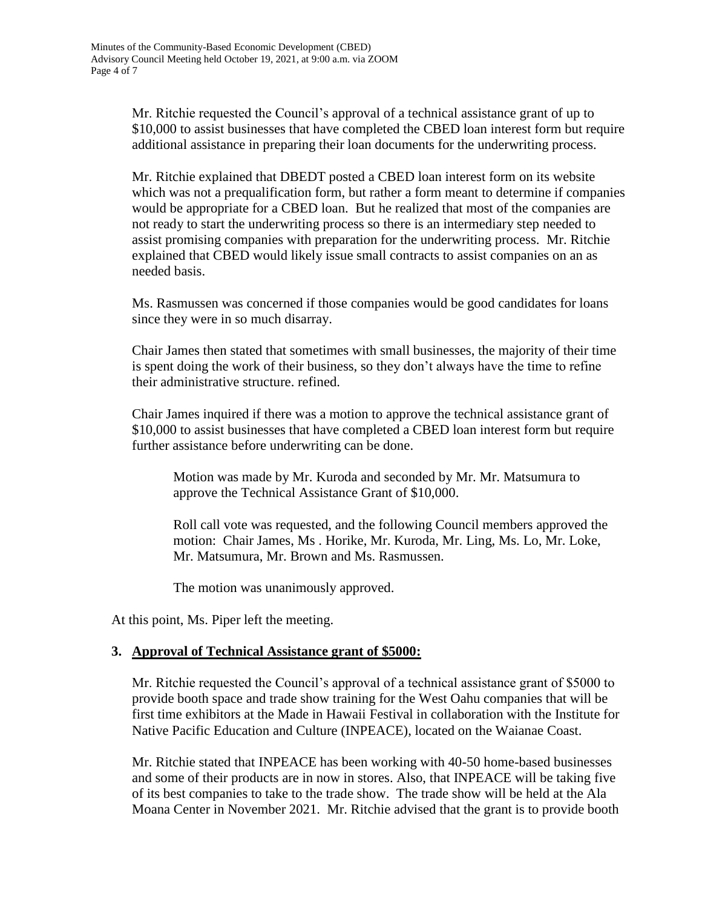Mr. Ritchie requested the Council's approval of a technical assistance grant of up to \$10,000 to assist businesses that have completed the CBED loan interest form but require additional assistance in preparing their loan documents for the underwriting process.

Mr. Ritchie explained that DBEDT posted a CBED loan interest form on its website which was not a prequalification form, but rather a form meant to determine if companies would be appropriate for a CBED loan. But he realized that most of the companies are not ready to start the underwriting process so there is an intermediary step needed to assist promising companies with preparation for the underwriting process. Mr. Ritchie explained that CBED would likely issue small contracts to assist companies on an as needed basis.

Ms. Rasmussen was concerned if those companies would be good candidates for loans since they were in so much disarray.

Chair James then stated that sometimes with small businesses, the majority of their time is spent doing the work of their business, so they don't always have the time to refine their administrative structure. refined.

Chair James inquired if there was a motion to approve the technical assistance grant of \$10,000 to assist businesses that have completed a CBED loan interest form but require further assistance before underwriting can be done.

Motion was made by Mr. Kuroda and seconded by Mr. Mr. Matsumura to approve the Technical Assistance Grant of \$10,000.

Roll call vote was requested, and the following Council members approved the motion: Chair James, Ms . Horike, Mr. Kuroda, Mr. Ling, Ms. Lo, Mr. Loke, Mr. Matsumura, Mr. Brown and Ms. Rasmussen.

The motion was unanimously approved.

At this point, Ms. Piper left the meeting.

### **3. Approval of Technical Assistance grant of \$5000:**

Mr. Ritchie requested the Council's approval of a technical assistance grant of \$5000 to provide booth space and trade show training for the West Oahu companies that will be first time exhibitors at the Made in Hawaii Festival in collaboration with the Institute for Native Pacific Education and Culture (INPEACE), located on the Waianae Coast.

Mr. Ritchie stated that INPEACE has been working with 40-50 home-based businesses and some of their products are in now in stores. Also, that INPEACE will be taking five of its best companies to take to the trade show. The trade show will be held at the Ala Moana Center in November 2021. Mr. Ritchie advised that the grant is to provide booth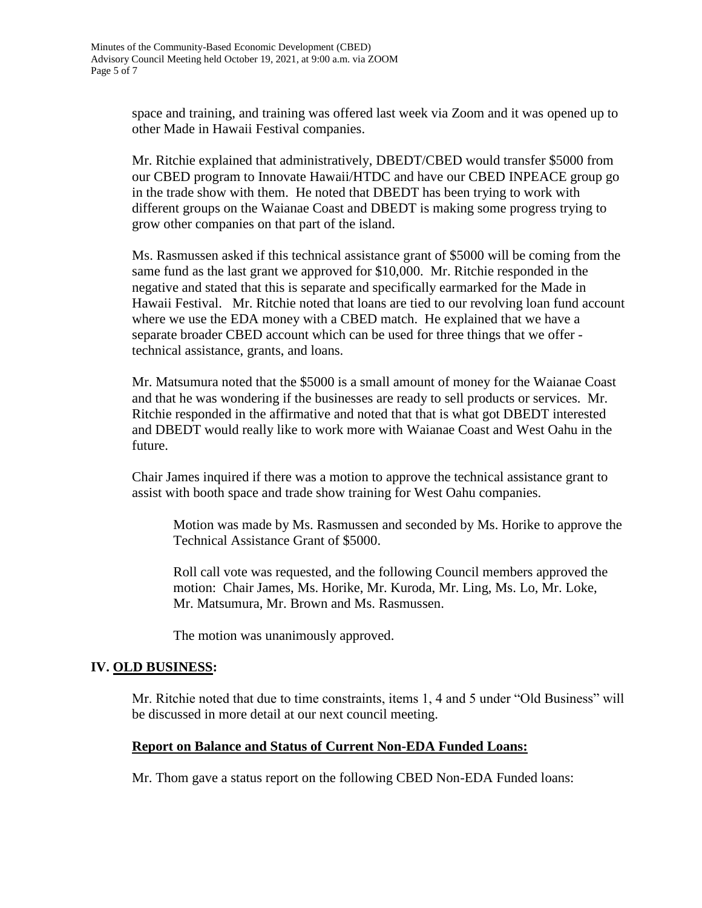space and training, and training was offered last week via Zoom and it was opened up to other Made in Hawaii Festival companies.

Mr. Ritchie explained that administratively, DBEDT/CBED would transfer \$5000 from our CBED program to Innovate Hawaii/HTDC and have our CBED INPEACE group go in the trade show with them. He noted that DBEDT has been trying to work with different groups on the Waianae Coast and DBEDT is making some progress trying to grow other companies on that part of the island.

Ms. Rasmussen asked if this technical assistance grant of \$5000 will be coming from the same fund as the last grant we approved for \$10,000. Mr. Ritchie responded in the negative and stated that this is separate and specifically earmarked for the Made in Hawaii Festival. Mr. Ritchie noted that loans are tied to our revolving loan fund account where we use the EDA money with a CBED match. He explained that we have a separate broader CBED account which can be used for three things that we offer technical assistance, grants, and loans.

Mr. Matsumura noted that the \$5000 is a small amount of money for the Waianae Coast and that he was wondering if the businesses are ready to sell products or services. Mr. Ritchie responded in the affirmative and noted that that is what got DBEDT interested and DBEDT would really like to work more with Waianae Coast and West Oahu in the future.

Chair James inquired if there was a motion to approve the technical assistance grant to assist with booth space and trade show training for West Oahu companies.

Motion was made by Ms. Rasmussen and seconded by Ms. Horike to approve the Technical Assistance Grant of \$5000.

Roll call vote was requested, and the following Council members approved the motion: Chair James, Ms. Horike, Mr. Kuroda, Mr. Ling, Ms. Lo, Mr. Loke, Mr. Matsumura, Mr. Brown and Ms. Rasmussen.

The motion was unanimously approved.

### **IV. OLD BUSINESS:**

Mr. Ritchie noted that due to time constraints, items 1, 4 and 5 under "Old Business" will be discussed in more detail at our next council meeting.

#### **Report on Balance and Status of Current Non-EDA Funded Loans:**

Mr. Thom gave a status report on the following CBED Non-EDA Funded loans: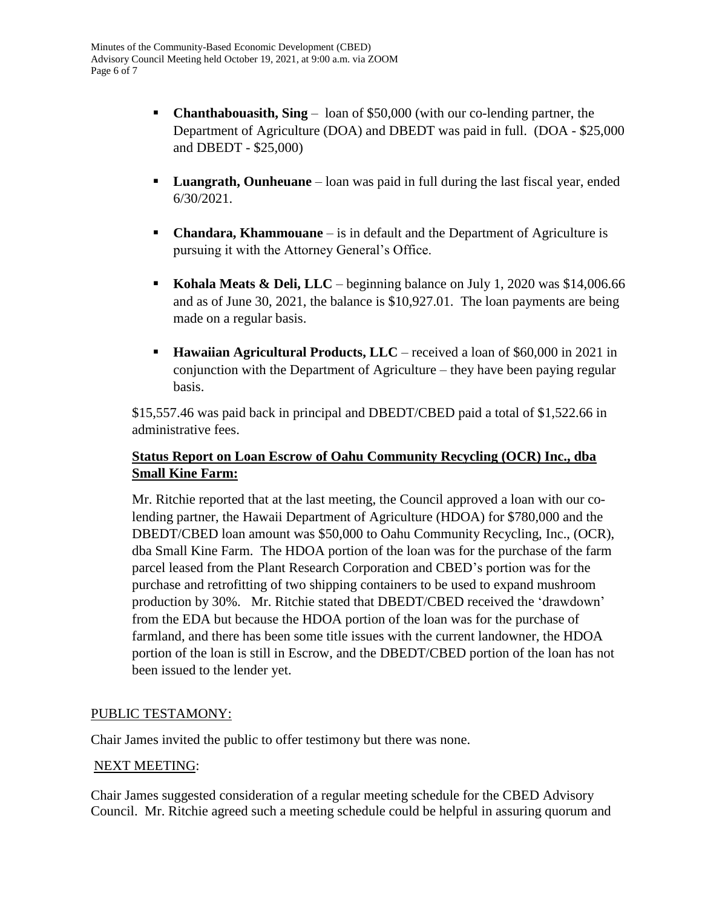- **Chanthabouasith, Sing** loan of \$50,000 (with our co-lending partner, the Department of Agriculture (DOA) and DBEDT was paid in full. (DOA - \$25,000 and DBEDT - \$25,000)
- **Luangrath, Ounheuane** loan was paid in full during the last fiscal year, ended 6/30/2021.
- **Chandara, Khammouane** is in default and the Department of Agriculture is pursuing it with the Attorney General's Office.
- **Kohala Meats & Deli, LLC** beginning balance on July 1, 2020 was \$14,006.66 and as of June 30, 2021, the balance is \$10,927.01. The loan payments are being made on a regular basis.
- **Hawaiian Agricultural Products, LLC** received a loan of \$60,000 in 2021 in conjunction with the Department of Agriculture – they have been paying regular basis.

\$15,557.46 was paid back in principal and DBEDT/CBED paid a total of \$1,522.66 in administrative fees.

# **Status Report on Loan Escrow of Oahu Community Recycling (OCR) Inc., dba Small Kine Farm:**

Mr. Ritchie reported that at the last meeting, the Council approved a loan with our colending partner, the Hawaii Department of Agriculture (HDOA) for \$780,000 and the DBEDT/CBED loan amount was \$50,000 to Oahu Community Recycling, Inc., (OCR), dba Small Kine Farm. The HDOA portion of the loan was for the purchase of the farm parcel leased from the Plant Research Corporation and CBED's portion was for the purchase and retrofitting of two shipping containers to be used to expand mushroom production by 30%. Mr. Ritchie stated that DBEDT/CBED received the 'drawdown' from the EDA but because the HDOA portion of the loan was for the purchase of farmland, and there has been some title issues with the current landowner, the HDOA portion of the loan is still in Escrow, and the DBEDT/CBED portion of the loan has not been issued to the lender yet.

# PUBLIC TESTAMONY:

Chair James invited the public to offer testimony but there was none.

### NEXT MEETING:

Chair James suggested consideration of a regular meeting schedule for the CBED Advisory Council. Mr. Ritchie agreed such a meeting schedule could be helpful in assuring quorum and